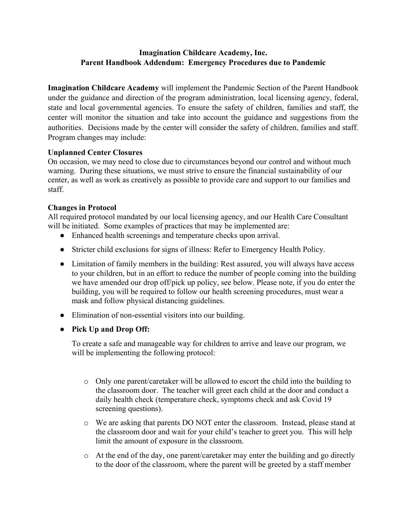## Imagination Childcare Academy, Inc. Parent Handbook Addendum: Emergency Procedures due to Pandemic

Imagination Childcare Academy will implement the Pandemic Section of the Parent Handbook under the guidance and direction of the program administration, local licensing agency, federal, state and local governmental agencies. To ensure the safety of children, families and staff, the center will monitor the situation and take into account the guidance and suggestions from the authorities. Decisions made by the center will consider the safety of children, families and staff. Program changes may include:

## Unplanned Center Closures

On occasion, we may need to close due to circumstances beyond our control and without much warning. During these situations, we must strive to ensure the financial sustainability of our center, as well as work as creatively as possible to provide care and support to our families and staff.

## Changes in Protocol

All required protocol mandated by our local licensing agency, and our Health Care Consultant will be initiated. Some examples of practices that may be implemented are:

- Enhanced health screenings and temperature checks upon arrival.
- Stricter child exclusions for signs of illness: Refer to Emergency Health Policy.
- Limitation of family members in the building: Rest assured, you will always have access to your children, but in an effort to reduce the number of people coming into the building we have amended our drop off/pick up policy, see below. Please note, if you do enter the building, you will be required to follow our health screening procedures, must wear a mask and follow physical distancing guidelines.
- Elimination of non-essential visitors into our building.
- Pick Up and Drop Off:

To create a safe and manageable way for children to arrive and leave our program, we will be implementing the following protocol:

- o Only one parent/caretaker will be allowed to escort the child into the building to the classroom door. The teacher will greet each child at the door and conduct a daily health check (temperature check, symptoms check and ask Covid 19 screening questions).
- o We are asking that parents DO NOT enter the classroom. Instead, please stand at the classroom door and wait for your child's teacher to greet you. This will help limit the amount of exposure in the classroom.
- o At the end of the day, one parent/caretaker may enter the building and go directly to the door of the classroom, where the parent will be greeted by a staff member